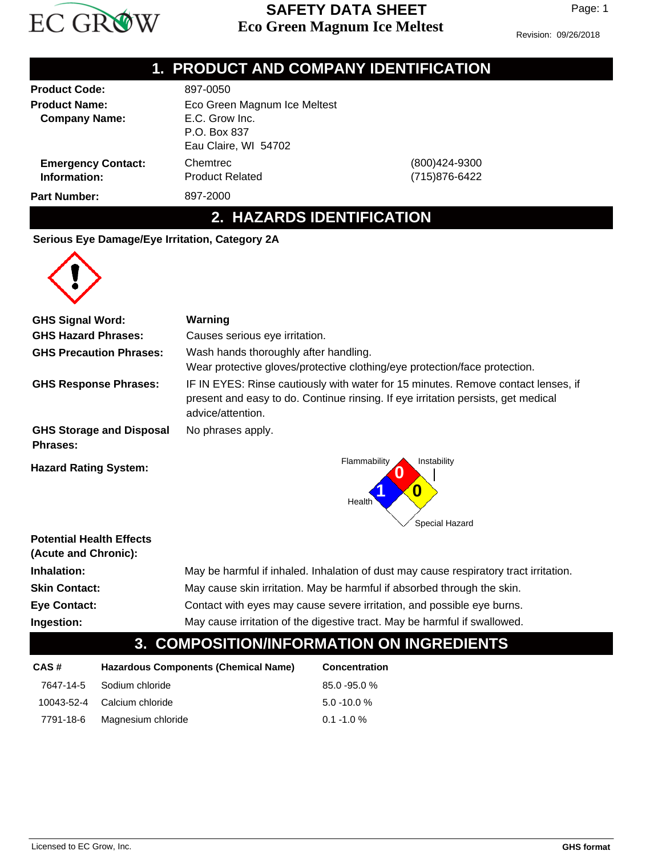

### **Eco Green Magnum Ice Meltest SAFETY DATA SHEET**

Revision: 09/26/2018

|                                                                      | 1. PRODUCT AND COMPANY IDENTIFICATION                                                                               |                                                                                   |
|----------------------------------------------------------------------|---------------------------------------------------------------------------------------------------------------------|-----------------------------------------------------------------------------------|
| <b>Product Code:</b><br><b>Product Name:</b><br><b>Company Name:</b> | 897-0050<br>Eco Green Magnum Ice Meltest<br>E.C. Grow Inc.<br>P.O. Box 837<br>Eau Claire, WI 54702                  |                                                                                   |
| <b>Emergency Contact:</b><br>Information:                            | Chemtrec<br><b>Product Related</b>                                                                                  | (800)424-9300<br>(715)876-6422                                                    |
| <b>Part Number:</b>                                                  | 897-2000                                                                                                            |                                                                                   |
|                                                                      | 2. HAZARDS IDENTIFICATION                                                                                           |                                                                                   |
| Serious Eye Damage/Eye Irritation, Category 2A                       |                                                                                                                     |                                                                                   |
| <b>GHS Signal Word:</b>                                              | Warning                                                                                                             |                                                                                   |
| <b>GHS Hazard Phrases:</b>                                           | Causes serious eye irritation.                                                                                      |                                                                                   |
| <b>GHS Precaution Phrases:</b>                                       | Wash hands thoroughly after handling.<br>Wear protective gloves/protective clothing/eye protection/face protection. |                                                                                   |
| <b>GHS Response Phrases:</b>                                         |                                                                                                                     | IF IN EYES: Rinse cautiously with water for 15 minutes. Remove contact lenses, if |

advice/attention. **GHS Storage and Disposal** No phrases apply.

**Phrases:**



present and easy to do. Continue rinsing. If eye irritation persists, get medical

#### **Potential Health Effects**

|                      | COMPOSITION/INFORMATION ON INGREDIENTS                                                |
|----------------------|---------------------------------------------------------------------------------------|
| Ingestion:           | May cause irritation of the digestive tract. May be harmful if swallowed.             |
| <b>Eye Contact:</b>  | Contact with eyes may cause severe irritation, and possible eye burns.                |
| <b>Skin Contact:</b> | May cause skin irritation. May be harmful if absorbed through the skin.               |
| Inhalation:          | May be harmful if inhaled. Inhalation of dust may cause respiratory tract irritation. |
| (Acute and Chronic): |                                                                                       |

## **3. COMPOSITION/INFORMATION ON INGREDIENTS**

| CAS# | <b>Hazardous Components (Chemical Name)</b> | <b>Concentration</b> |  |
|------|---------------------------------------------|----------------------|--|
|      | 7647-14-5 Sodium chloride                   | $85.0 - 95.0 %$      |  |
|      | 10043-52-4 Calcium chloride                 | $5.0 - 10.0 %$       |  |
|      | 7791-18-6 Magnesium chloride                | $0.1 - 1.0 \%$       |  |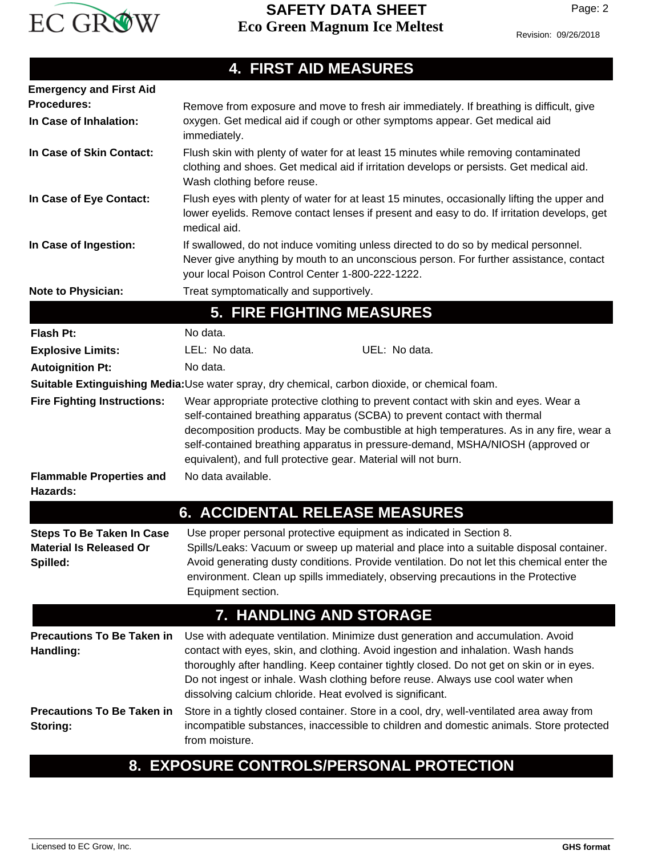

#### **4. FIRST AID MEASURES Emergency and First Aid Procedures: Note to Physician:** Treat symptomatically and supportively. Flush eyes with plenty of water for at least 15 minutes, occasionally lifting the upper and lower eyelids. Remove contact lenses if present and easy to do. If irritation develops, get medical aid. **In Case of Eye Contact:** Flush skin with plenty of water for at least 15 minutes while removing contaminated clothing and shoes. Get medical aid if irritation develops or persists. Get medical aid. Wash clothing before reuse. **In Case of Skin Contact:** If swallowed, do not induce vomiting unless directed to do so by medical personnel. Never give anything by mouth to an unconscious person. For further assistance, contact your local Poison Control Center 1-800-222-1222. **In Case of Ingestion:** Remove from exposure and move to fresh air immediately. If breathing is difficult, give oxygen. Get medical aid if cough or other symptoms appear. Get medical aid immediately. **In Case of Inhalation: 5. FIRE FIGHTING MEASURES Flash Pt:** No data. Wear appropriate protective clothing to prevent contact with skin and eyes. Wear a self-contained breathing apparatus (SCBA) to prevent contact with thermal decomposition products. May be combustible at high temperatures. As in any fire, wear a self-contained breathing apparatus in pressure-demand, MSHA/NIOSH (approved or equivalent), and full protective gear. Material will not burn. **Fire Fighting Instructions: Flammable Properties and** No data available. **Hazards: Autoignition Pt:** No data. **Explosive Limits:** LEL: No data. When the UEL: No data. **Suitable Extinguishing Media:**Use water spray, dry chemical, carbon dioxide, or chemical foam. **6. ACCIDENTAL RELEASE MEASURES** Use proper personal protective equipment as indicated in Section 8. Spills/Leaks: Vacuum or sweep up material and place into a suitable disposal container. Avoid generating dusty conditions. Provide ventilation. Do not let this chemical enter the environment. Clean up spills immediately, observing precautions in the Protective Equipment section. **Steps To Be Taken In Case Material Is Released Or Spilled: 7. HANDLING AND STORAGE** Use with adequate ventilation. Minimize dust generation and accumulation. Avoid contact with eyes, skin, and clothing. Avoid ingestion and inhalation. Wash hands thoroughly after handling. Keep container tightly closed. Do not get on skin or in eyes. Do not ingest or inhale. Wash clothing before reuse. Always use cool water when dissolving calcium chloride. Heat evolved is significant. **Precautions To Be Taken in Handling:** Store in a tightly closed container. Store in a cool, dry, well-ventilated area away from incompatible substances, inaccessible to children and domestic animals. Store protected from moisture. **Precautions To Be Taken in Storing: 8. EXPOSURE CONTROLS/PERSONAL PROTECTION**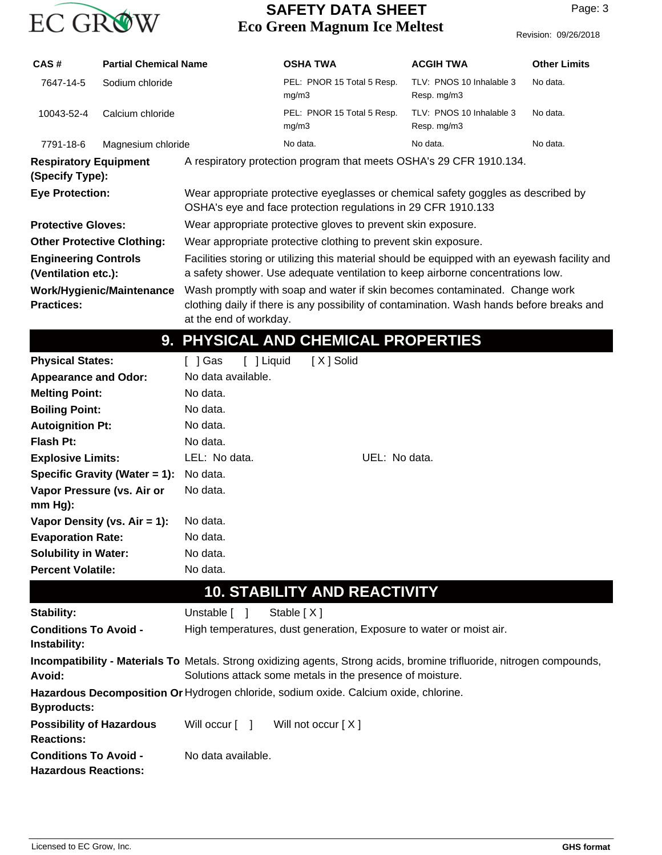

### **Eco Green Magnum Ice Meltest SAFETY DATA SHEET**

| CAS#                                                                                                                                                                                                                                                        | <b>Partial Chemical Name</b> |                                                                | <b>OSHA TWA</b>                                                                                                                                    | <b>ACGIH TWA</b>                        | <b>Other Limits</b> |  |
|-------------------------------------------------------------------------------------------------------------------------------------------------------------------------------------------------------------------------------------------------------------|------------------------------|----------------------------------------------------------------|----------------------------------------------------------------------------------------------------------------------------------------------------|-----------------------------------------|---------------------|--|
| 7647-14-5                                                                                                                                                                                                                                                   | Sodium chloride              |                                                                | PEL: PNOR 15 Total 5 Resp.<br>mg/m3                                                                                                                | TLV: PNOS 10 Inhalable 3<br>Resp. mg/m3 | No data.            |  |
| 10043-52-4                                                                                                                                                                                                                                                  | Calcium chloride             |                                                                | PEL: PNOR 15 Total 5 Resp.<br>mg/m3                                                                                                                | TLV: PNOS 10 Inhalable 3<br>Resp. mg/m3 | No data.            |  |
| 7791-18-6                                                                                                                                                                                                                                                   | Magnesium chloride           |                                                                | No data.                                                                                                                                           | No data.                                | No data.            |  |
| <b>Respiratory Equipment</b><br>(Specify Type):                                                                                                                                                                                                             |                              |                                                                | A respiratory protection program that meets OSHA's 29 CFR 1910.134.                                                                                |                                         |                     |  |
| <b>Eye Protection:</b>                                                                                                                                                                                                                                      |                              |                                                                | Wear appropriate protective eyeglasses or chemical safety goggles as described by<br>OSHA's eye and face protection regulations in 29 CFR 1910.133 |                                         |                     |  |
| <b>Protective Gloves:</b>                                                                                                                                                                                                                                   |                              | Wear appropriate protective gloves to prevent skin exposure.   |                                                                                                                                                    |                                         |                     |  |
| <b>Other Protective Clothing:</b>                                                                                                                                                                                                                           |                              | Wear appropriate protective clothing to prevent skin exposure. |                                                                                                                                                    |                                         |                     |  |
| Facilities storing or utilizing this material should be equipped with an eyewash facility and<br><b>Engineering Controls</b><br>a safety shower. Use adequate ventilation to keep airborne concentrations low.<br>(Ventilation etc.):                       |                              |                                                                |                                                                                                                                                    |                                         |                     |  |
| Wash promptly with soap and water if skin becomes contaminated. Change work<br><b>Work/Hygienic/Maintenance</b><br>clothing daily if there is any possibility of contamination. Wash hands before breaks and<br><b>Practices:</b><br>at the end of workday. |                              |                                                                |                                                                                                                                                    |                                         |                     |  |
|                                                                                                                                                                                                                                                             |                              |                                                                | 9. PHYSICAL AND CHEMICAL PROPERTIES                                                                                                                |                                         |                     |  |

| <b>Physical States:</b>                      | [X] Solid<br>[ ] Liquid<br>Gas                                      |               |
|----------------------------------------------|---------------------------------------------------------------------|---------------|
| <b>Appearance and Odor:</b>                  | No data available.                                                  |               |
| <b>Melting Point:</b>                        | No data.                                                            |               |
| <b>Boiling Point:</b>                        | No data.                                                            |               |
| <b>Autoignition Pt:</b>                      | No data.                                                            |               |
| Flash Pt:                                    | No data.                                                            |               |
| <b>Explosive Limits:</b>                     | LEL: No data.                                                       | UEL: No data. |
| Specific Gravity (Water $= 1$ ):             | No data.                                                            |               |
| Vapor Pressure (vs. Air or                   | No data.                                                            |               |
| $mm Hg$ :                                    |                                                                     |               |
| Vapor Density (vs. $Air = 1$ ):              | No data.                                                            |               |
| <b>Evaporation Rate:</b>                     | No data.                                                            |               |
| <b>Solubility in Water:</b>                  | No data.                                                            |               |
| <b>Percent Volatile:</b>                     | No data.                                                            |               |
|                                              | <b>10. STABILITY AND REACTIVITY</b>                                 |               |
| <b>Stability:</b>                            | Unstable [ ]<br>Stable $[X]$                                        |               |
| <b>Conditions To Avoid -</b><br>Instability: | High temperatures, dust generation, Exposure to water or moist air. |               |

Incompatibility - Materials To Metals. Strong oxidizing agents, Strong acids, bromine trifluoride, nitrogen compounds, Solutions attack some metals in the presence of moisture. **Avoid:**

**Hazardous Decomposition Or** Hydrogen chloride, sodium oxide. Calcium oxide, chlorine. **Byproducts: Possibility of Hazardous** Will occur [ ] Will not occur [ X ]

**Reactions: Conditions To Avoid -** No data available. **Hazardous Reactions:**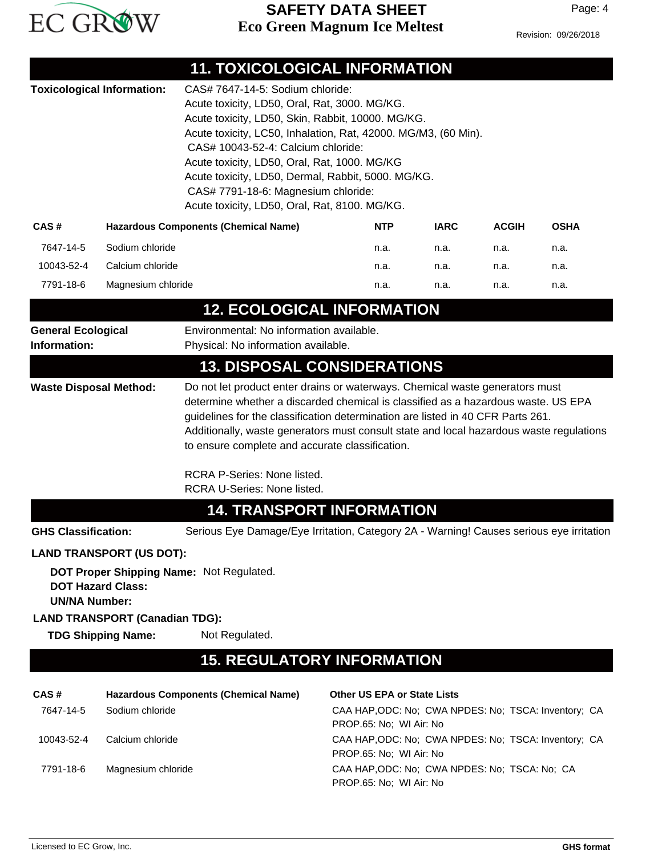

## **Eco Green Magnum Ice Meltest SAFETY DATA SHEET**

Revision: 09/26/2018

|                                                                                                                                                                                                                                                                                                                                                                                                                      |                                                                                                | <b>11. TOXICOLOGICAL INFORMATION</b>                                                                                                                                                                                                                                                                                                                                                                                                         |                                                                                 |             |              |             |
|----------------------------------------------------------------------------------------------------------------------------------------------------------------------------------------------------------------------------------------------------------------------------------------------------------------------------------------------------------------------------------------------------------------------|------------------------------------------------------------------------------------------------|----------------------------------------------------------------------------------------------------------------------------------------------------------------------------------------------------------------------------------------------------------------------------------------------------------------------------------------------------------------------------------------------------------------------------------------------|---------------------------------------------------------------------------------|-------------|--------------|-------------|
|                                                                                                                                                                                                                                                                                                                                                                                                                      | <b>Toxicological Information:</b>                                                              | CAS# 7647-14-5: Sodium chloride:<br>Acute toxicity, LD50, Oral, Rat, 3000. MG/KG.<br>Acute toxicity, LD50, Skin, Rabbit, 10000. MG/KG.<br>Acute toxicity, LC50, Inhalation, Rat, 42000. MG/M3, (60 Min).<br>CAS# 10043-52-4: Calcium chloride:<br>Acute toxicity, LD50, Oral, Rat, 1000. MG/KG<br>Acute toxicity, LD50, Dermal, Rabbit, 5000. MG/KG.<br>CAS# 7791-18-6: Magnesium chloride:<br>Acute toxicity, LD50, Oral, Rat, 8100. MG/KG. |                                                                                 |             |              |             |
| CAS#                                                                                                                                                                                                                                                                                                                                                                                                                 |                                                                                                | <b>Hazardous Components (Chemical Name)</b>                                                                                                                                                                                                                                                                                                                                                                                                  | <b>NTP</b>                                                                      | <b>IARC</b> | <b>ACGIH</b> | <b>OSHA</b> |
| 7647-14-5                                                                                                                                                                                                                                                                                                                                                                                                            | Sodium chloride                                                                                |                                                                                                                                                                                                                                                                                                                                                                                                                                              | n.a.                                                                            | n.a.        | n.a.         | n.a.        |
| 10043-52-4                                                                                                                                                                                                                                                                                                                                                                                                           | Calcium chloride                                                                               |                                                                                                                                                                                                                                                                                                                                                                                                                                              | n.a.                                                                            | n.a.        | n.a.         | n.a.        |
| 7791-18-6                                                                                                                                                                                                                                                                                                                                                                                                            | Magnesium chloride                                                                             |                                                                                                                                                                                                                                                                                                                                                                                                                                              | n.a.                                                                            | n.a.        | n.a.         | n.a.        |
|                                                                                                                                                                                                                                                                                                                                                                                                                      |                                                                                                | <b>12. ECOLOGICAL INFORMATION</b>                                                                                                                                                                                                                                                                                                                                                                                                            |                                                                                 |             |              |             |
| <b>General Ecological</b><br>Information:                                                                                                                                                                                                                                                                                                                                                                            |                                                                                                | Environmental: No information available.<br>Physical: No information available.                                                                                                                                                                                                                                                                                                                                                              |                                                                                 |             |              |             |
|                                                                                                                                                                                                                                                                                                                                                                                                                      |                                                                                                | <b>13. DISPOSAL CONSIDERATIONS</b>                                                                                                                                                                                                                                                                                                                                                                                                           |                                                                                 |             |              |             |
| determine whether a discarded chemical is classified as a hazardous waste. US EPA<br>guidelines for the classification determination are listed in 40 CFR Parts 261.<br>Additionally, waste generators must consult state and local hazardous waste regulations<br>to ensure complete and accurate classification.<br>RCRA P-Series: None listed.<br>RCRA U-Series: None listed.<br><b>14. TRANSPORT INFORMATION</b> |                                                                                                |                                                                                                                                                                                                                                                                                                                                                                                                                                              |                                                                                 |             |              |             |
| <b>GHS Classification:</b>                                                                                                                                                                                                                                                                                                                                                                                           |                                                                                                | Serious Eye Damage/Eye Irritation, Category 2A - Warning! Causes serious eye irritation                                                                                                                                                                                                                                                                                                                                                      |                                                                                 |             |              |             |
|                                                                                                                                                                                                                                                                                                                                                                                                                      | <b>LAND TRANSPORT (US DOT):</b>                                                                |                                                                                                                                                                                                                                                                                                                                                                                                                                              |                                                                                 |             |              |             |
| <b>UN/NA Number:</b>                                                                                                                                                                                                                                                                                                                                                                                                 | <b>DOT Hazard Class:</b><br><b>LAND TRANSPORT (Canadian TDG):</b><br><b>TDG Shipping Name:</b> | DOT Proper Shipping Name: Not Regulated.<br>Not Regulated.                                                                                                                                                                                                                                                                                                                                                                                   |                                                                                 |             |              |             |
|                                                                                                                                                                                                                                                                                                                                                                                                                      |                                                                                                | <b>15. REGULATORY INFORMATION</b>                                                                                                                                                                                                                                                                                                                                                                                                            |                                                                                 |             |              |             |
|                                                                                                                                                                                                                                                                                                                                                                                                                      |                                                                                                |                                                                                                                                                                                                                                                                                                                                                                                                                                              |                                                                                 |             |              |             |
| CAS#                                                                                                                                                                                                                                                                                                                                                                                                                 |                                                                                                | <b>Hazardous Components (Chemical Name)</b>                                                                                                                                                                                                                                                                                                                                                                                                  | <b>Other US EPA or State Lists</b>                                              |             |              |             |
| 7647-14-5                                                                                                                                                                                                                                                                                                                                                                                                            | Sodium chloride                                                                                |                                                                                                                                                                                                                                                                                                                                                                                                                                              | CAA HAP, ODC: No; CWA NPDES: No; TSCA: Inventory; CA<br>PROP.65: No; WI Air: No |             |              |             |
| 10043-52-4                                                                                                                                                                                                                                                                                                                                                                                                           | Calcium chloride                                                                               |                                                                                                                                                                                                                                                                                                                                                                                                                                              | CAA HAP, ODC: No; CWA NPDES: No; TSCA: Inventory; CA<br>PROP.65: No; WI Air: No |             |              |             |
| 7791-18-6                                                                                                                                                                                                                                                                                                                                                                                                            | Magnesium chloride                                                                             |                                                                                                                                                                                                                                                                                                                                                                                                                                              | CAA HAP, ODC: No; CWA NPDES: No; TSCA: No; CA<br>PROP.65: No; WI Air: No        |             |              |             |